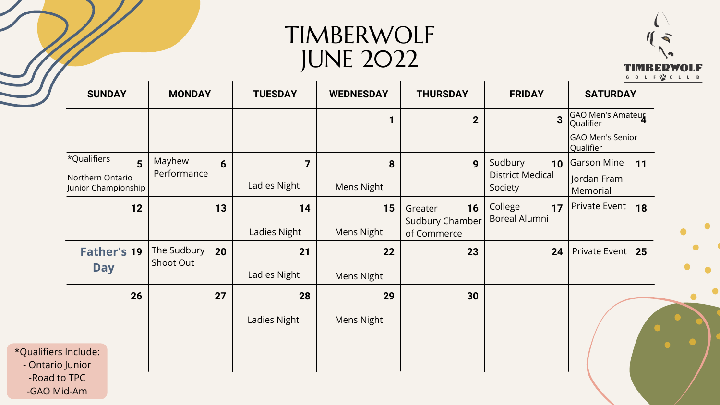## TIMBERWOLF JUNE 2022

| <b>SUNDAY</b>                                  |                | <b>MONDAY</b>            |                | <b>TUESDAY</b>          | <b>WEDNESDAY</b>  | <b>THURSDAY</b>                       | <b>FRIDAY</b>                         | <b>SATURDAY</b>                       |
|------------------------------------------------|----------------|--------------------------|----------------|-------------------------|-------------------|---------------------------------------|---------------------------------------|---------------------------------------|
|                                                |                |                          |                |                         | 1                 | $\overline{2}$                        | $\overline{3}$                        | <b>GAO Men's Amateur</b><br>Qualifier |
|                                                |                |                          |                |                         |                   |                                       |                                       | <b>GAO Men's Senior</b><br>Qualifier  |
| *Qualifiers                                    | 5 <sup>5</sup> | Mayhew                   | $6\phantom{1}$ | $\overline{\mathbf{z}}$ | 8                 | 9                                     | Sudbury<br>10                         | <b>Garson Mine</b><br><b>11</b>       |
| <b>Northern Ontario</b><br>Junior Championship |                | Performance              |                | <b>Ladies Night</b>     | <b>Mens Night</b> |                                       | <b>District Medical</b><br>Society    | Jordan Fram<br>Memorial               |
|                                                | $12$           |                          | 13             | 14                      | 15                | 16<br>Greater                         | College<br>17<br><b>Boreal Alumni</b> | Private Event 18                      |
|                                                |                |                          |                | <b>Ladies Night</b>     | <b>Mens Night</b> | <b>Sudbury Chamber</b><br>of Commerce |                                       |                                       |
| <b>Father's 19</b>                             |                | The Sudbury<br>Shoot Out | 20             | 21                      | 22                | 23                                    | 24                                    | Private Event 25                      |
| <b>Day</b>                                     |                |                          |                | <b>Ladies Night</b>     | Mens Night        |                                       |                                       |                                       |
|                                                | 26             |                          | 27             | 28                      | 29                | 30                                    |                                       |                                       |
|                                                |                |                          |                | <b>Ladies Night</b>     | <b>Mens Night</b> |                                       |                                       |                                       |
|                                                |                |                          |                |                         |                   |                                       |                                       |                                       |
| *Qualifiers Include:<br>- Ontario Junior       |                |                          |                |                         |                   |                                       |                                       |                                       |
| -Road to TPC<br>-GAO Mid-Am                    |                |                          |                |                         |                   |                                       |                                       |                                       |

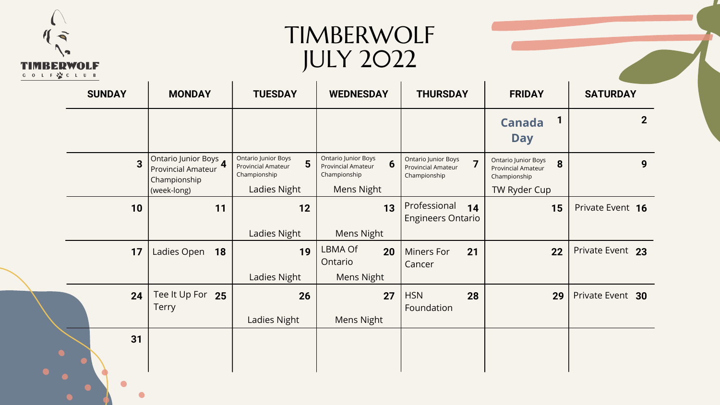

 $\bullet$ 

## TIMBERWOLF JULY 2022

| <b>MONDAY</b><br><b>SUNDAY</b> |                                                                    | <b>TUESDAY</b>                                                               | <b>WEDNESDAY</b>                                                                                                | <b>THURSDAY</b>                                                         | <b>FRIDAY</b>                                                                | <b>SATURDAY</b>  |  |
|--------------------------------|--------------------------------------------------------------------|------------------------------------------------------------------------------|-----------------------------------------------------------------------------------------------------------------|-------------------------------------------------------------------------|------------------------------------------------------------------------------|------------------|--|
|                                |                                                                    |                                                                              |                                                                                                                 |                                                                         | <b>Canada</b><br><b>Day</b>                                                  | $\mathbf{2}$     |  |
| $\overline{3}$                 | Ontario Junior Boys 4<br><b>Provincial Amateur</b><br>Championship | <b>Ontario Junior Boys</b><br>5<br><b>Provincial Amateur</b><br>Championship | <b>Ontario Junior Boys</b><br>$6\phantom{1}6$<br><b>Provincial Amateur</b><br>Championship<br><b>Mens Night</b> | <b>Ontario Junior Boys</b><br><b>Provincial Amateur</b><br>Championship | <b>Ontario Junior Boys</b><br>8<br><b>Provincial Amateur</b><br>Championship | 9                |  |
| 10                             | (week-long)<br>11                                                  | <b>Ladies Night</b><br>12                                                    | 13                                                                                                              | Professional<br>14<br><b>Engineers Ontario</b>                          | TW Ryder Cup<br>15                                                           | Private Event 16 |  |
|                                |                                                                    | <b>Ladies Night</b>                                                          | <b>Mens Night</b>                                                                                               |                                                                         |                                                                              |                  |  |
| 17                             | 18<br>Ladies Open                                                  | 19                                                                           | _BMA Of<br>20<br>Ontario                                                                                        | 21<br><b>Miners For</b><br>Cancer                                       | 22                                                                           | Private Event 23 |  |
|                                |                                                                    | <b>Ladies Night</b>                                                          | <b>Mens Night</b>                                                                                               |                                                                         |                                                                              |                  |  |
| 24                             | Tee It Up For 25<br><b>Terry</b>                                   | 26<br><b>Ladies Night</b>                                                    | 27<br><b>Mens Night</b>                                                                                         | <b>HSN</b><br>28<br>Foundation                                          | 29                                                                           | Private Event 30 |  |
| 31                             |                                                                    |                                                                              |                                                                                                                 |                                                                         |                                                                              |                  |  |
|                                |                                                                    |                                                                              |                                                                                                                 |                                                                         |                                                                              |                  |  |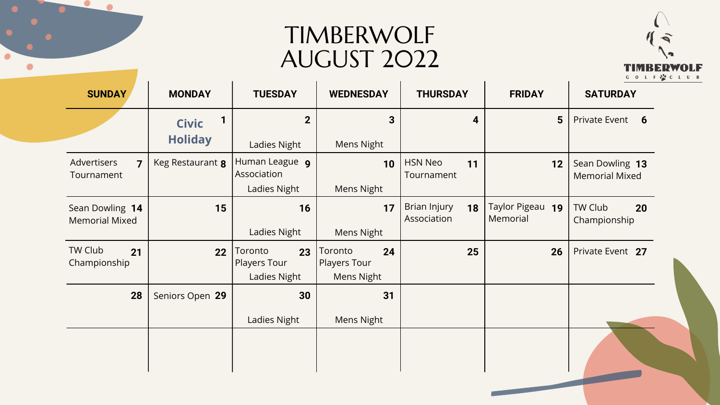## TIMBERWOLF AUGUST 2022

 $\blacksquare$ 

 $\bullet$ 

 $\bullet$ 

| <b>SUNDAY</b>                                        | <b>MONDAY</b>    | <b>TUESDAY</b>                                       | <b>WEDNESDAY</b>                                          | <b>THURSDAY</b>                    | <b>FRIDAY</b>                          | <b>SATURDAY</b>                          |
|------------------------------------------------------|------------------|------------------------------------------------------|-----------------------------------------------------------|------------------------------------|----------------------------------------|------------------------------------------|
|                                                      | <b>Civic</b>     | $\overline{2}$                                       | 3 <sup>1</sup>                                            | 4                                  | 5 <sup>5</sup>                         | Private Event 6                          |
|                                                      | <b>Holiday</b>   | <b>Ladies Night</b>                                  | <b>Mens Night</b>                                         |                                    |                                        |                                          |
| Advertisers<br>$\overline{\mathbf{z}}$<br>Tournament | Keg Restaurant 8 | Human League 9<br>Association                        | 10                                                        | <b>HSN Neo</b><br>11<br>Tournament | 12                                     | Sean Dowling 13<br><b>Memorial Mixed</b> |
|                                                      |                  | Ladies Night                                         | <b>Mens Night</b>                                         |                                    |                                        |                                          |
| Sean Dowling 14<br><b>Memorial Mixed</b>             | 15               | 16                                                   | 17                                                        | Brian Injury<br>18<br>Association  | <b>Taylor Pigeau</b><br>19<br>Memorial | TW Club<br>20<br>Championship            |
|                                                      |                  | <b>Ladies Night</b>                                  | <b>Mens Night</b>                                         |                                    |                                        |                                          |
| TW Club<br>21<br>Championship                        | 22               | Toronto<br>23<br>Players Tour<br><b>Ladies Night</b> | Toronto<br>24<br><b>Players Tour</b><br><b>Mens Night</b> | 25                                 | 26                                     | Private Event 27                         |
| 28                                                   | Seniors Open 29  | 30                                                   | 31                                                        |                                    |                                        |                                          |
|                                                      |                  | Ladies Night                                         | <b>Mens Night</b>                                         |                                    |                                        |                                          |
|                                                      |                  |                                                      |                                                           |                                    |                                        |                                          |
|                                                      |                  |                                                      |                                                           |                                    |                                        |                                          |